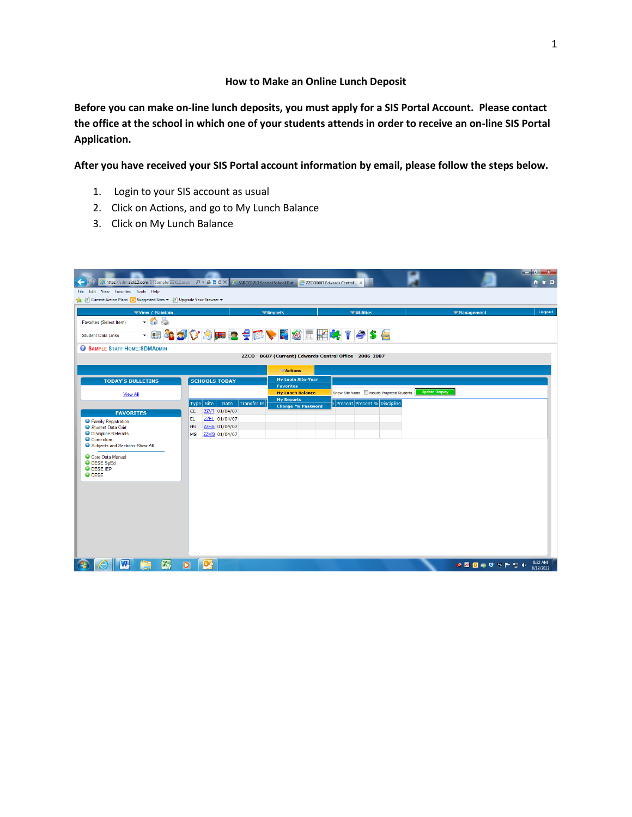## **How to Make an Online Lunch Deposit**

**Before you can make on-line lunch deposits, you must apply for a SIS Portal Account. Please contact the office at the school in which one of your students attends in order to receive an on-line SIS Portal Application.** 

**After you have received your SIS Portal account information by email, please follow the steps below.** 

- 1. Login to your SIS account as usual
- 2. Click on Actions, and go to My Lunch Balance
- 3. Click on My Lunch Balance

| $\leftarrow$<br>File Edit View Favorites Tools Help                | https://sdm.sisk12.com/DTSample/SISK12.aspx $\rho \cdot \mathbb{A} \otimes \mathbb{C} \times \mathbb{C}$ SSDC01213 Special School Dist $\bigotimes$ ZZC00607 Edwards Central  X |                                                          |                                             |                       | an Ch<br>$\mathbf{x}$<br>$A \star Q$ |  |  |  |  |
|--------------------------------------------------------------------|---------------------------------------------------------------------------------------------------------------------------------------------------------------------------------|----------------------------------------------------------|---------------------------------------------|-----------------------|--------------------------------------|--|--|--|--|
| Current Action Plans   Suggested Sites v   Dipgrade Your Browser v |                                                                                                                                                                                 |                                                          |                                             |                       |                                      |  |  |  |  |
| View / Maintain                                                    |                                                                                                                                                                                 | <b>Exeports</b>                                          | <b>▼Utilities</b>                           | <b>Whanagement</b>    | Logout                               |  |  |  |  |
| S.<br>$-60$<br>Favorites (Select Item)                             |                                                                                                                                                                                 |                                                          |                                             |                       |                                      |  |  |  |  |
| <b>Student Data Links</b>                                          | - 日 <mark>43</mark> ♡☆田屋号区◆日めに開けすぐ\$●                                                                                                                                           |                                                          |                                             |                       |                                      |  |  |  |  |
| SAMPLE STAFF HOME: SDMADMIN                                        |                                                                                                                                                                                 |                                                          |                                             |                       |                                      |  |  |  |  |
|                                                                    |                                                                                                                                                                                 | ZZCO - 0607 (Current) Edwards Central Office - 2006-2007 |                                             |                       |                                      |  |  |  |  |
|                                                                    |                                                                                                                                                                                 | $\nabla$ Actions                                         |                                             |                       |                                      |  |  |  |  |
| <b>TODAY'S BULLETINS</b>                                           | <b>SCHOOLS TODAY</b>                                                                                                                                                            | <b>My Login Site-Year</b><br><b>Favorites</b>            |                                             |                       |                                      |  |  |  |  |
| <b>View All</b>                                                    |                                                                                                                                                                                 | <b>My Lunch Balance</b>                                  | Show Site Name   Include Projected Students | <b>Update Display</b> |                                      |  |  |  |  |
|                                                                    | Transfer In<br>Date<br>Type Site                                                                                                                                                | <b>My Reports</b>                                        | e Present Present % Discipline              |                       |                                      |  |  |  |  |
| <b>FAVORITES</b>                                                   | ZZVT 01/04/07<br>CE                                                                                                                                                             | <b>Change My Password</b>                                |                                             |                       |                                      |  |  |  |  |
| <b>O</b> Family Registration                                       | ZZEL 01/04/07<br>EL.                                                                                                                                                            |                                                          |                                             |                       |                                      |  |  |  |  |
| Student Data Grid                                                  | <b>HS</b><br>ZZHS 01/04/07                                                                                                                                                      |                                                          |                                             |                       |                                      |  |  |  |  |
| <b>O</b> Discipline Referrals<br>Curriculum                        | ZZMS 01/04/07<br><b>MS</b>                                                                                                                                                      |                                                          |                                             |                       |                                      |  |  |  |  |
| Subjects and Sections-Show All                                     |                                                                                                                                                                                 |                                                          |                                             |                       |                                      |  |  |  |  |
| Core Data Manual                                                   |                                                                                                                                                                                 |                                                          |                                             |                       |                                      |  |  |  |  |
| O DESE SpEd                                                        |                                                                                                                                                                                 |                                                          |                                             |                       |                                      |  |  |  |  |
| <b>O</b> DESE IEP<br>O DESE                                        |                                                                                                                                                                                 |                                                          |                                             |                       |                                      |  |  |  |  |
|                                                                    |                                                                                                                                                                                 |                                                          |                                             |                       |                                      |  |  |  |  |
|                                                                    |                                                                                                                                                                                 |                                                          |                                             |                       |                                      |  |  |  |  |
|                                                                    |                                                                                                                                                                                 |                                                          |                                             |                       |                                      |  |  |  |  |
|                                                                    |                                                                                                                                                                                 |                                                          |                                             |                       |                                      |  |  |  |  |
|                                                                    |                                                                                                                                                                                 |                                                          |                                             |                       |                                      |  |  |  |  |
|                                                                    |                                                                                                                                                                                 |                                                          |                                             |                       |                                      |  |  |  |  |
|                                                                    |                                                                                                                                                                                 |                                                          |                                             |                       |                                      |  |  |  |  |
|                                                                    |                                                                                                                                                                                 |                                                          |                                             |                       |                                      |  |  |  |  |
|                                                                    |                                                                                                                                                                                 |                                                          |                                             |                       |                                      |  |  |  |  |
| <b>K</b><br>W                                                      | <b>IQG</b><br>$\bullet$                                                                                                                                                         |                                                          |                                             | ☆△◎●●※トロ+             | 8:22 AM<br>8/17/2012                 |  |  |  |  |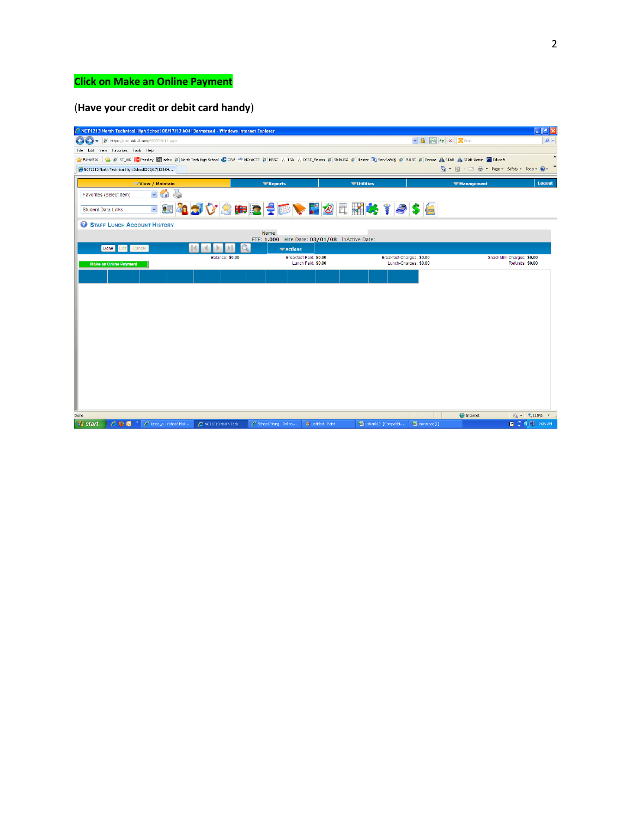## **Click on Make an Online Payment**

## (**Have your credit or debit card handy**)

| C NCT1213 North Technical High School 08/17/12 k0413armstead - Windows Internet Explorer                                                                                                                      |                                                          |                                                                           |                   | $\Box$ e $x$                         |  |  |  |  |
|---------------------------------------------------------------------------------------------------------------------------------------------------------------------------------------------------------------|----------------------------------------------------------|---------------------------------------------------------------------------|-------------------|--------------------------------------|--|--|--|--|
| https://sdm.sisk12.com/SSD/SISK12.aspx<br>æ,                                                                                                                                                                  |                                                          | $\vee$ 4 $\bigotimes$ $\leftarrow$ $\times$ $\bigotimes$ Bing<br>$\rho$ . |                   |                                      |  |  |  |  |
| View Favorites Tools Help<br>Edit<br>File                                                                                                                                                                     |                                                          |                                                                           |                   |                                      |  |  |  |  |
| $\,$<br>Pavorites set Secret A STANK in Passkey in holex B North Tech High School C CIW *5 MO-ACTE B MSSC ( TSA ( DESE Memos B SkillsUSA B iTester 5 ServSafe@ B PULSE B Encore A STAR A STAR-Admin & Edusoft |                                                          |                                                                           |                   |                                      |  |  |  |  |
| »<br>☆ 同 □ 曲 · Page · Safety · Tools · ② ·<br>NCT1213 North Technical High SchoolD08/17/12 k04                                                                                                                |                                                          |                                                                           |                   |                                      |  |  |  |  |
| View / Maintain                                                                                                                                                                                               | <b>V</b> Reports                                         | <b>▼Utilities</b>                                                         | <b>Wanagement</b> | Logout                               |  |  |  |  |
| $\checkmark$<br>Favorites (Select Item)<br>11                                                                                                                                                                 |                                                          |                                                                           |                   |                                      |  |  |  |  |
| $\checkmark$<br><b>Student Data Links</b>                                                                                                                                                                     |                                                          | □ 383 ☆☆●■24 □ ◆■◎元昭长 ↑ ● \$ ●                                            |                   |                                      |  |  |  |  |
| STAFF LUNCH ACCOUNT HISTORY                                                                                                                                                                                   |                                                          |                                                                           |                   |                                      |  |  |  |  |
|                                                                                                                                                                                                               | Name:                                                    |                                                                           |                   |                                      |  |  |  |  |
| Done Edit Cancel                                                                                                                                                                                              | FTE: 1.000 Hire Date: 03/01/08 InActive Date:<br>Actions |                                                                           |                   |                                      |  |  |  |  |
| Balance: \$0.00                                                                                                                                                                                               | Breakfast-Paid: \$0.00                                   | Breakfast-Charges: \$0.00                                                 |                   | Snack Milk-Charges: \$0.00           |  |  |  |  |
| <b>Make an Online Payment</b>                                                                                                                                                                                 | Lunch Paid: \$0.00                                       | Lunch-Charges: \$0.00                                                     |                   | Refunds: \$0.00                      |  |  |  |  |
|                                                                                                                                                                                                               |                                                          |                                                                           |                   |                                      |  |  |  |  |
|                                                                                                                                                                                                               |                                                          |                                                                           |                   |                                      |  |  |  |  |
|                                                                                                                                                                                                               |                                                          |                                                                           |                   |                                      |  |  |  |  |
|                                                                                                                                                                                                               |                                                          |                                                                           |                   |                                      |  |  |  |  |
|                                                                                                                                                                                                               |                                                          |                                                                           |                   |                                      |  |  |  |  |
|                                                                                                                                                                                                               |                                                          |                                                                           |                   |                                      |  |  |  |  |
|                                                                                                                                                                                                               |                                                          |                                                                           |                   |                                      |  |  |  |  |
|                                                                                                                                                                                                               |                                                          |                                                                           |                   |                                      |  |  |  |  |
|                                                                                                                                                                                                               |                                                          |                                                                           |                   |                                      |  |  |  |  |
|                                                                                                                                                                                                               |                                                          |                                                                           |                   |                                      |  |  |  |  |
|                                                                                                                                                                                                               |                                                          |                                                                           |                   |                                      |  |  |  |  |
|                                                                                                                                                                                                               |                                                          |                                                                           |                   |                                      |  |  |  |  |
|                                                                                                                                                                                                               |                                                          |                                                                           |                   |                                      |  |  |  |  |
|                                                                                                                                                                                                               |                                                          |                                                                           |                   |                                      |  |  |  |  |
| Done                                                                                                                                                                                                          |                                                          |                                                                           | <b>O</b> Internet | $\frac{1}{2}$ - $\frac{1}{2}$ 115% - |  |  |  |  |
| <b>H</b> start<br>$C$ 00<br>Lirsta_a - Yahoo! Mail<br>NCT1213 North Tech                                                                                                                                      | School Dining - Online                                   | W untitled - Paint<br>Usbank12 [Compatibi                                 | El download[1]    | <b>图 : (3) 9:36 AM</b>               |  |  |  |  |